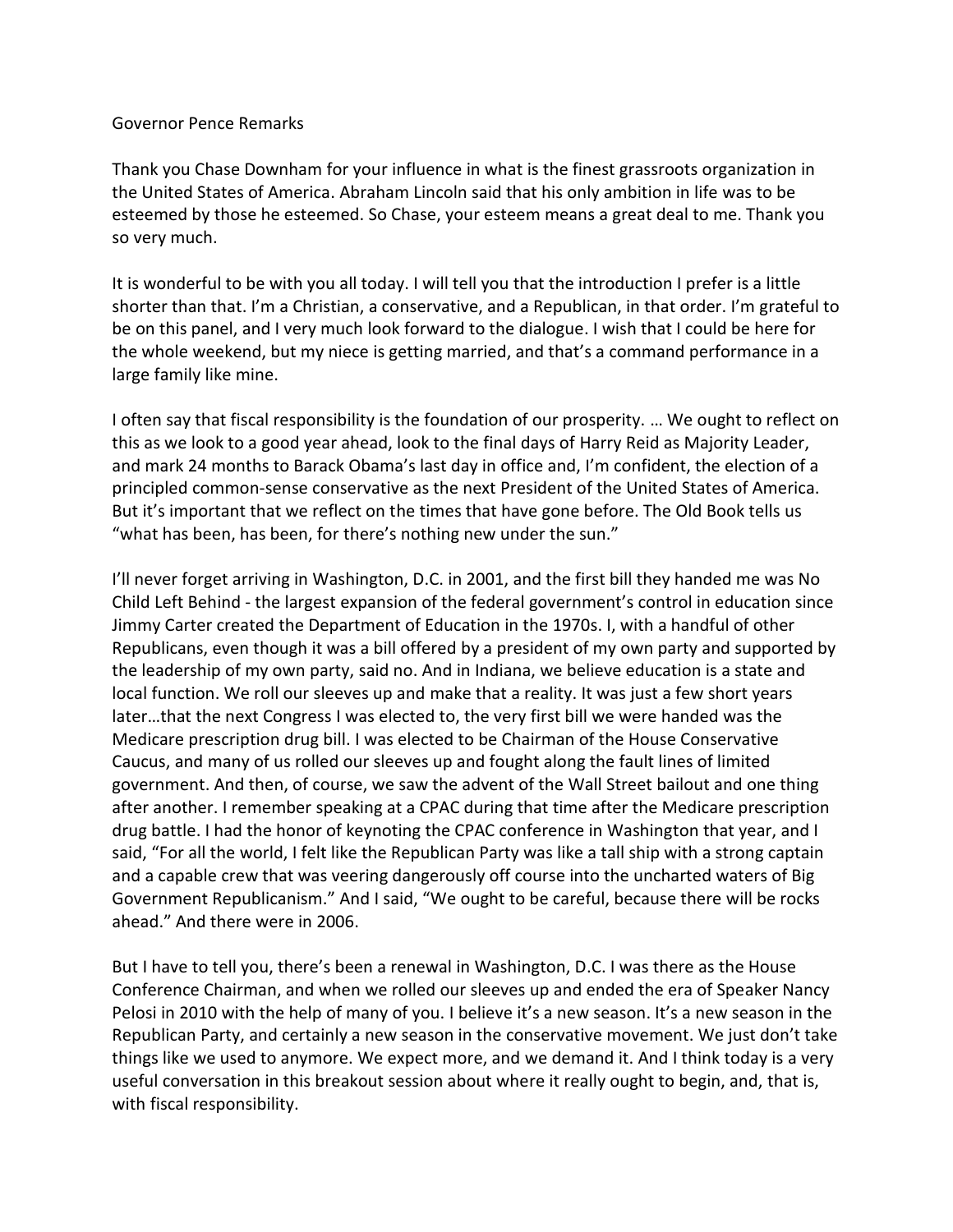## Governor Pence Remarks

Thank you Chase Downham for your influence in what is the finest grassroots organization in the United States of America. Abraham Lincoln said that his only ambition in life was to be esteemed by those he esteemed. So Chase, your esteem means a great deal to me. Thank you so very much.

It is wonderful to be with you all today. I will tell you that the introduction I prefer is a little shorter than that. I'm a Christian, a conservative, and a Republican, in that order. I'm grateful to be on this panel, and I very much look forward to the dialogue. I wish that I could be here for the whole weekend, but my niece is getting married, and that's a command performance in a large family like mine.

I often say that fiscal responsibility is the foundation of our prosperity. … We ought to reflect on this as we look to a good year ahead, look to the final days of Harry Reid as Majority Leader, and mark 24 months to Barack Obama's last day in office and, I'm confident, the election of a principled common-sense conservative as the next President of the United States of America. But it's important that we reflect on the times that have gone before. The Old Book tells us "what has been, has been, for there's nothing new under the sun."

I'll never forget arriving in Washington, D.C. in 2001, and the first bill they handed me was No Child Left Behind - the largest expansion of the federal government's control in education since Jimmy Carter created the Department of Education in the 1970s. I, with a handful of other Republicans, even though it was a bill offered by a president of my own party and supported by the leadership of my own party, said no. And in Indiana, we believe education is a state and local function. We roll our sleeves up and make that a reality. It was just a few short years later…that the next Congress I was elected to, the very first bill we were handed was the Medicare prescription drug bill. I was elected to be Chairman of the House Conservative Caucus, and many of us rolled our sleeves up and fought along the fault lines of limited government. And then, of course, we saw the advent of the Wall Street bailout and one thing after another. I remember speaking at a CPAC during that time after the Medicare prescription drug battle. I had the honor of keynoting the CPAC conference in Washington that year, and I said, "For all the world, I felt like the Republican Party was like a tall ship with a strong captain and a capable crew that was veering dangerously off course into the uncharted waters of Big Government Republicanism." And I said, "We ought to be careful, because there will be rocks ahead." And there were in 2006.

But I have to tell you, there's been a renewal in Washington, D.C. I was there as the House Conference Chairman, and when we rolled our sleeves up and ended the era of Speaker Nancy Pelosi in 2010 with the help of many of you. I believe it's a new season. It's a new season in the Republican Party, and certainly a new season in the conservative movement. We just don't take things like we used to anymore. We expect more, and we demand it. And I think today is a very useful conversation in this breakout session about where it really ought to begin, and, that is, with fiscal responsibility.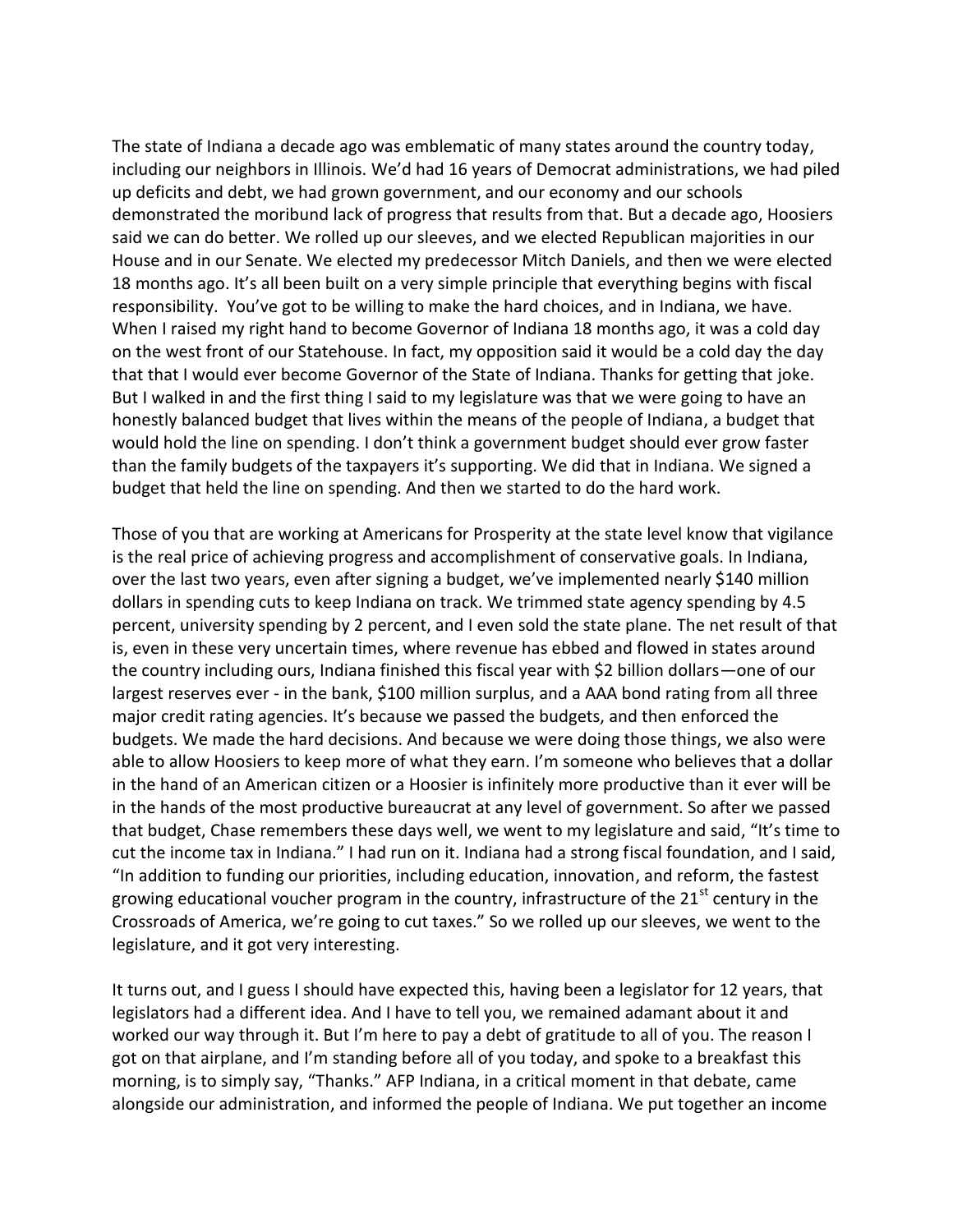The state of Indiana a decade ago was emblematic of many states around the country today, including our neighbors in Illinois. We'd had 16 years of Democrat administrations, we had piled up deficits and debt, we had grown government, and our economy and our schools demonstrated the moribund lack of progress that results from that. But a decade ago, Hoosiers said we can do better. We rolled up our sleeves, and we elected Republican majorities in our House and in our Senate. We elected my predecessor Mitch Daniels, and then we were elected 18 months ago. It's all been built on a very simple principle that everything begins with fiscal responsibility. You've got to be willing to make the hard choices, and in Indiana, we have. When I raised my right hand to become Governor of Indiana 18 months ago, it was a cold day on the west front of our Statehouse. In fact, my opposition said it would be a cold day the day that that I would ever become Governor of the State of Indiana. Thanks for getting that joke. But I walked in and the first thing I said to my legislature was that we were going to have an honestly balanced budget that lives within the means of the people of Indiana, a budget that would hold the line on spending. I don't think a government budget should ever grow faster than the family budgets of the taxpayers it's supporting. We did that in Indiana. We signed a budget that held the line on spending. And then we started to do the hard work.

Those of you that are working at Americans for Prosperity at the state level know that vigilance is the real price of achieving progress and accomplishment of conservative goals. In Indiana, over the last two years, even after signing a budget, we've implemented nearly \$140 million dollars in spending cuts to keep Indiana on track. We trimmed state agency spending by 4.5 percent, university spending by 2 percent, and I even sold the state plane. The net result of that is, even in these very uncertain times, where revenue has ebbed and flowed in states around the country including ours, Indiana finished this fiscal year with \$2 billion dollars—one of our largest reserves ever - in the bank, \$100 million surplus, and a AAA bond rating from all three major credit rating agencies. It's because we passed the budgets, and then enforced the budgets. We made the hard decisions. And because we were doing those things, we also were able to allow Hoosiers to keep more of what they earn. I'm someone who believes that a dollar in the hand of an American citizen or a Hoosier is infinitely more productive than it ever will be in the hands of the most productive bureaucrat at any level of government. So after we passed that budget, Chase remembers these days well, we went to my legislature and said, "It's time to cut the income tax in Indiana." I had run on it. Indiana had a strong fiscal foundation, and I said, "In addition to funding our priorities, including education, innovation, and reform, the fastest growing educational voucher program in the country, infrastructure of the  $21<sup>st</sup>$  century in the Crossroads of America, we're going to cut taxes." So we rolled up our sleeves, we went to the legislature, and it got very interesting.

It turns out, and I guess I should have expected this, having been a legislator for 12 years, that legislators had a different idea. And I have to tell you, we remained adamant about it and worked our way through it. But I'm here to pay a debt of gratitude to all of you. The reason I got on that airplane, and I'm standing before all of you today, and spoke to a breakfast this morning, is to simply say, "Thanks." AFP Indiana, in a critical moment in that debate, came alongside our administration, and informed the people of Indiana. We put together an income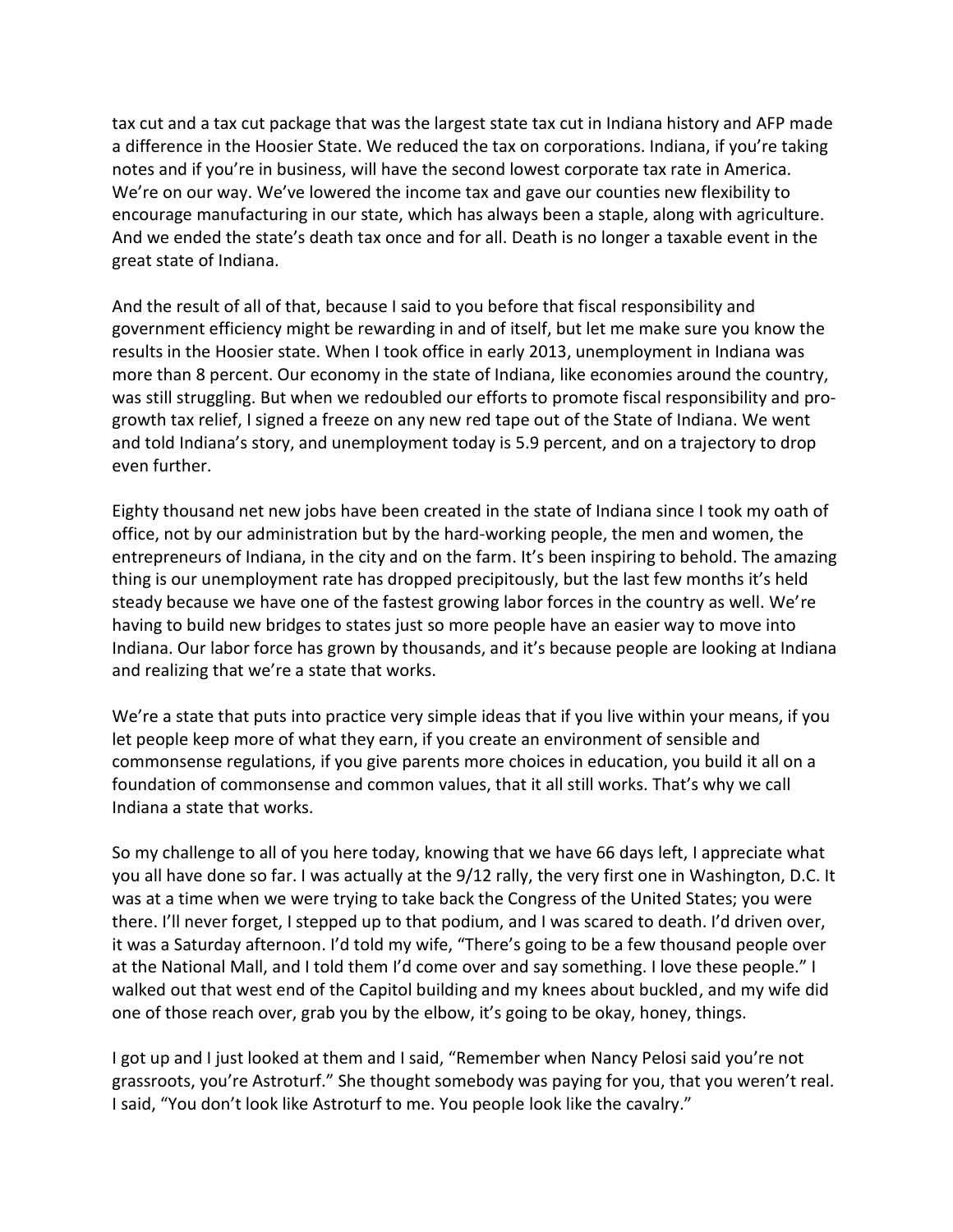tax cut and a tax cut package that was the largest state tax cut in Indiana history and AFP made a difference in the Hoosier State. We reduced the tax on corporations. Indiana, if you're taking notes and if you're in business, will have the second lowest corporate tax rate in America. We're on our way. We've lowered the income tax and gave our counties new flexibility to encourage manufacturing in our state, which has always been a staple, along with agriculture. And we ended the state's death tax once and for all. Death is no longer a taxable event in the great state of Indiana.

And the result of all of that, because I said to you before that fiscal responsibility and government efficiency might be rewarding in and of itself, but let me make sure you know the results in the Hoosier state. When I took office in early 2013, unemployment in Indiana was more than 8 percent. Our economy in the state of Indiana, like economies around the country, was still struggling. But when we redoubled our efforts to promote fiscal responsibility and progrowth tax relief, I signed a freeze on any new red tape out of the State of Indiana. We went and told Indiana's story, and unemployment today is 5.9 percent, and on a trajectory to drop even further.

Eighty thousand net new jobs have been created in the state of Indiana since I took my oath of office, not by our administration but by the hard-working people, the men and women, the entrepreneurs of Indiana, in the city and on the farm. It's been inspiring to behold. The amazing thing is our unemployment rate has dropped precipitously, but the last few months it's held steady because we have one of the fastest growing labor forces in the country as well. We're having to build new bridges to states just so more people have an easier way to move into Indiana. Our labor force has grown by thousands, and it's because people are looking at Indiana and realizing that we're a state that works.

We're a state that puts into practice very simple ideas that if you live within your means, if you let people keep more of what they earn, if you create an environment of sensible and commonsense regulations, if you give parents more choices in education, you build it all on a foundation of commonsense and common values, that it all still works. That's why we call Indiana a state that works.

So my challenge to all of you here today, knowing that we have 66 days left, I appreciate what you all have done so far. I was actually at the 9/12 rally, the very first one in Washington, D.C. It was at a time when we were trying to take back the Congress of the United States; you were there. I'll never forget, I stepped up to that podium, and I was scared to death. I'd driven over, it was a Saturday afternoon. I'd told my wife, "There's going to be a few thousand people over at the National Mall, and I told them I'd come over and say something. I love these people." I walked out that west end of the Capitol building and my knees about buckled, and my wife did one of those reach over, grab you by the elbow, it's going to be okay, honey, things.

I got up and I just looked at them and I said, "Remember when Nancy Pelosi said you're not grassroots, you're Astroturf." She thought somebody was paying for you, that you weren't real. I said, "You don't look like Astroturf to me. You people look like the cavalry."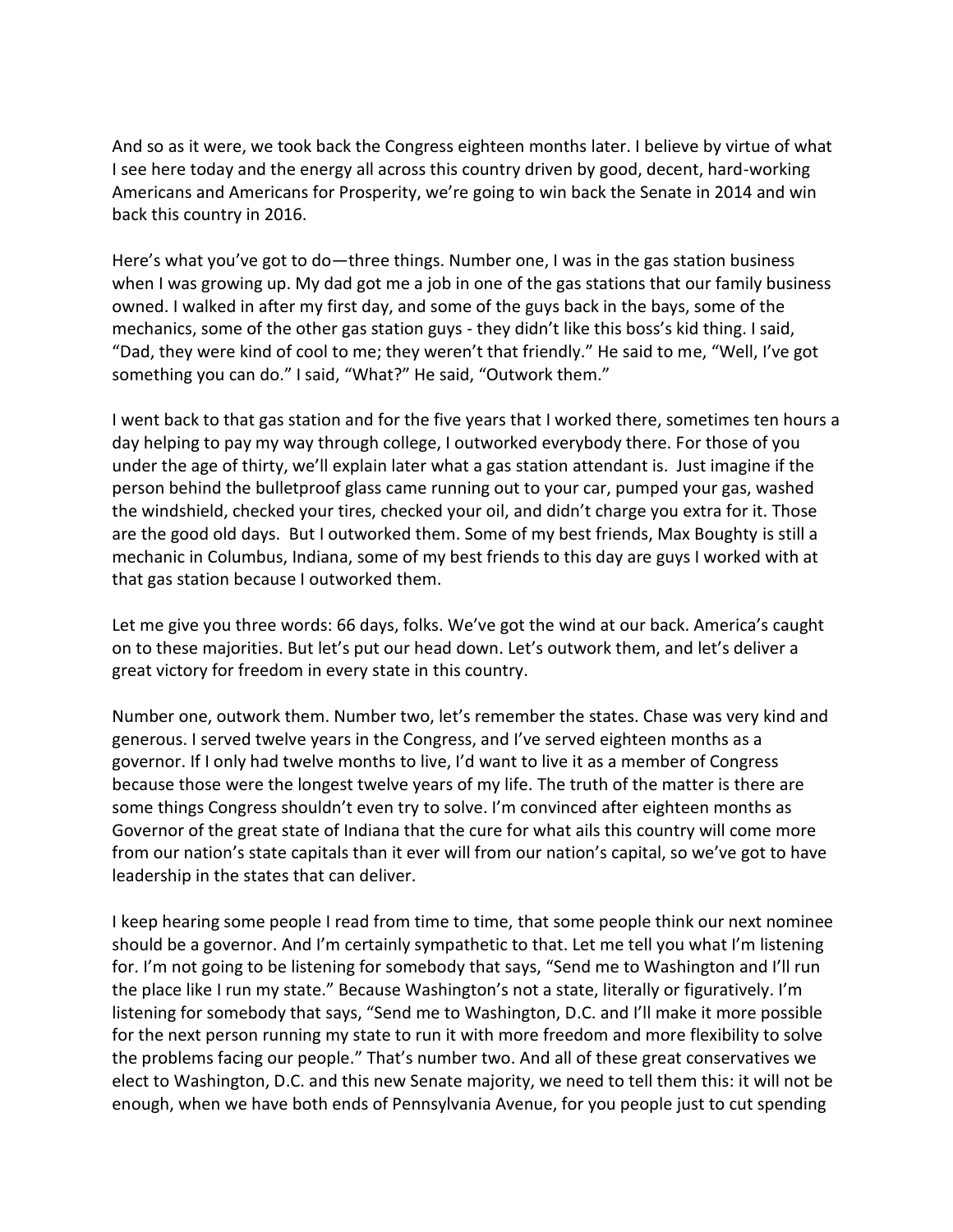And so as it were, we took back the Congress eighteen months later. I believe by virtue of what I see here today and the energy all across this country driven by good, decent, hard-working Americans and Americans for Prosperity, we're going to win back the Senate in 2014 and win back this country in 2016.

Here's what you've got to do—three things. Number one, I was in the gas station business when I was growing up. My dad got me a job in one of the gas stations that our family business owned. I walked in after my first day, and some of the guys back in the bays, some of the mechanics, some of the other gas station guys - they didn't like this boss's kid thing. I said, "Dad, they were kind of cool to me; they weren't that friendly." He said to me, "Well, I've got something you can do." I said, "What?" He said, "Outwork them."

I went back to that gas station and for the five years that I worked there, sometimes ten hours a day helping to pay my way through college, I outworked everybody there. For those of you under the age of thirty, we'll explain later what a gas station attendant is. Just imagine if the person behind the bulletproof glass came running out to your car, pumped your gas, washed the windshield, checked your tires, checked your oil, and didn't charge you extra for it. Those are the good old days. But I outworked them. Some of my best friends, Max Boughty is still a mechanic in Columbus, Indiana, some of my best friends to this day are guys I worked with at that gas station because I outworked them.

Let me give you three words: 66 days, folks. We've got the wind at our back. America's caught on to these majorities. But let's put our head down. Let's outwork them, and let's deliver a great victory for freedom in every state in this country.

Number one, outwork them. Number two, let's remember the states. Chase was very kind and generous. I served twelve years in the Congress, and I've served eighteen months as a governor. If I only had twelve months to live, I'd want to live it as a member of Congress because those were the longest twelve years of my life. The truth of the matter is there are some things Congress shouldn't even try to solve. I'm convinced after eighteen months as Governor of the great state of Indiana that the cure for what ails this country will come more from our nation's state capitals than it ever will from our nation's capital, so we've got to have leadership in the states that can deliver.

I keep hearing some people I read from time to time, that some people think our next nominee should be a governor. And I'm certainly sympathetic to that. Let me tell you what I'm listening for. I'm not going to be listening for somebody that says, "Send me to Washington and I'll run the place like I run my state." Because Washington's not a state, literally or figuratively. I'm listening for somebody that says, "Send me to Washington, D.C. and I'll make it more possible for the next person running my state to run it with more freedom and more flexibility to solve the problems facing our people." That's number two. And all of these great conservatives we elect to Washington, D.C. and this new Senate majority, we need to tell them this: it will not be enough, when we have both ends of Pennsylvania Avenue, for you people just to cut spending